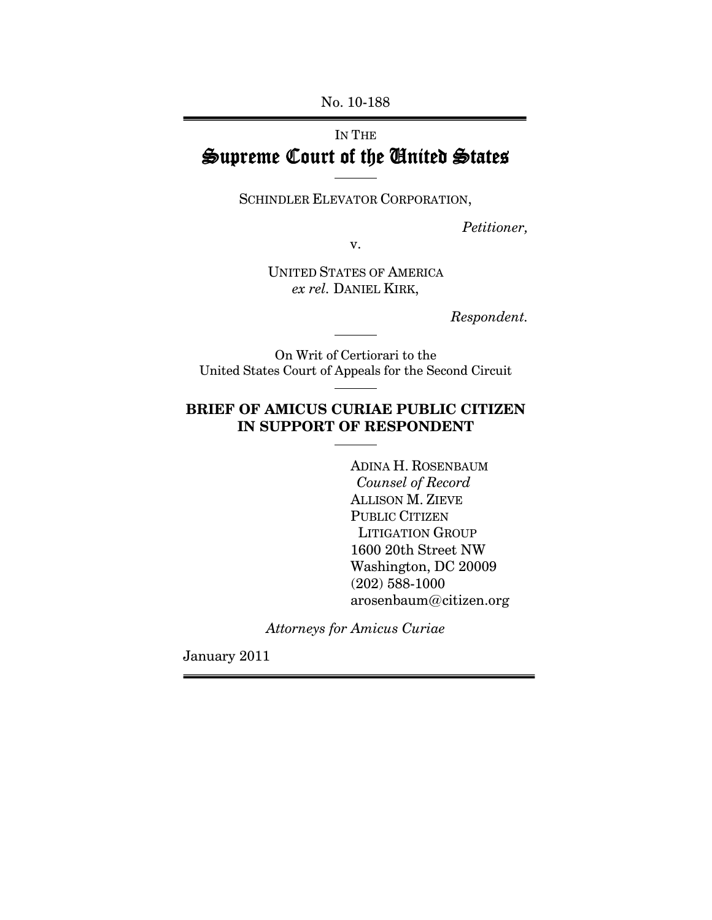No. 10-188

# IN THE Supreme Court of the United States

SCHINDLER ELEVATOR CORPORATION,

 $\overline{a}$ 

Petitioner,

v.

UNITED STATES OF AMERICA ex rel. DANIEL KIRK,

Respondent.

On Writ of Certiorari to the United States Court of Appeals for the Second Circuit

 $\overline{a}$ 

 $\overline{a}$ 

 $\overline{a}$ 

### BRIEF OF AMICUS CURIAE PUBLIC CITIZEN IN SUPPORT OF RESPONDENT

 ADINA H. ROSENBAUM Counsel of Record ALLISON M. ZIEVE PUBLIC CITIZEN LITIGATION GROUP 1600 20th Street NW Washington, DC 20009 (202) 588-1000 arosenbaum@citizen.org

Attorneys for Amicus Curiae

January 2011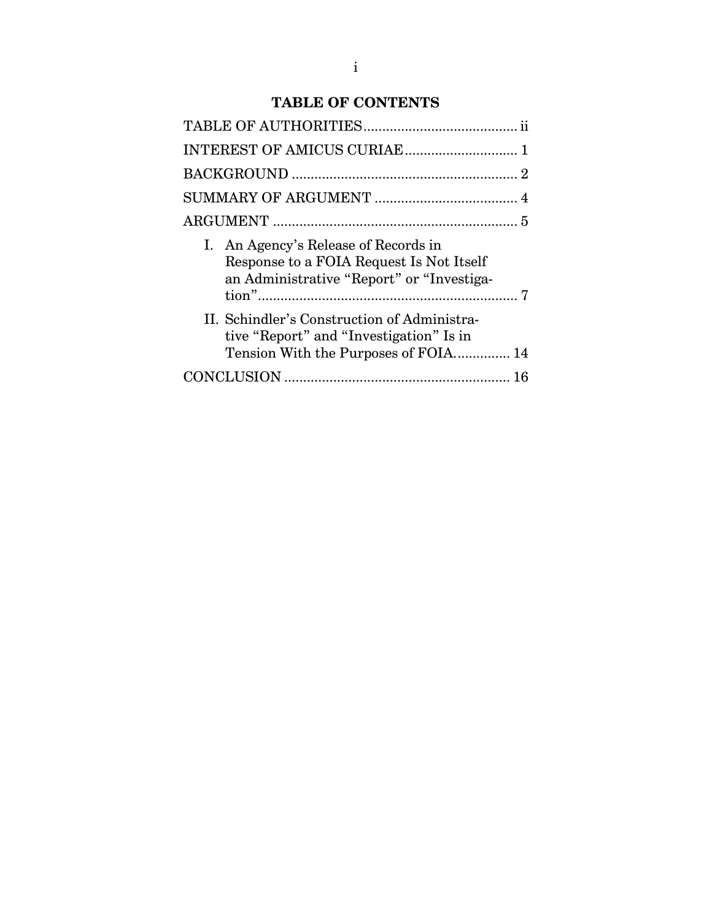# TABLE OF CONTENTS

| I. An Agency's Release of Records in<br>Response to a FOIA Request Is Not Itself<br>an Administrative "Report" or "Investiga-  |  |
|--------------------------------------------------------------------------------------------------------------------------------|--|
| II. Schindler's Construction of Administra-<br>tive "Report" and "Investigation" Is in<br>Tension With the Purposes of FOIA 14 |  |
|                                                                                                                                |  |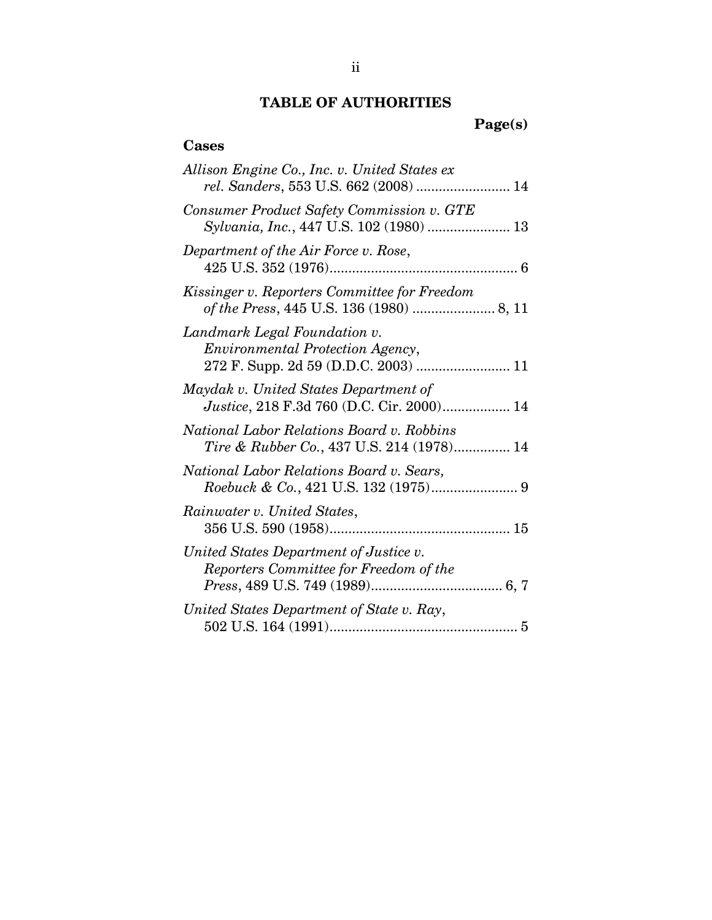# TABLE OF AUTHORITIES

Page(s)

# Cases

| Allison Engine Co., Inc. v. United States ex<br>rel. Sanders, 553 U.S. 662 (2008)  14    |
|------------------------------------------------------------------------------------------|
| Consumer Product Safety Commission v. GTE<br>Sylvania, Inc., 447 U.S. 102 (1980)  13     |
| Department of the Air Force v. Rose,                                                     |
| Kissinger v. Reporters Committee for Freedom<br>of the Press, 445 U.S. 136 (1980)  8, 11 |
| Landmark Legal Foundation v.<br><i>Environmental Protection Agency,</i>                  |
| Maydak v. United States Department of<br>Justice, 218 F.3d 760 (D.C. Cir. 2000) 14       |
| National Labor Relations Board v. Robbins<br>Tire & Rubber Co., 437 U.S. 214 (1978) 14   |
| National Labor Relations Board v. Sears,                                                 |
| Rainwater v. United States,                                                              |
| United States Department of Justice v.<br>Reporters Committee for Freedom of the         |
| United States Department of State v. Ray,                                                |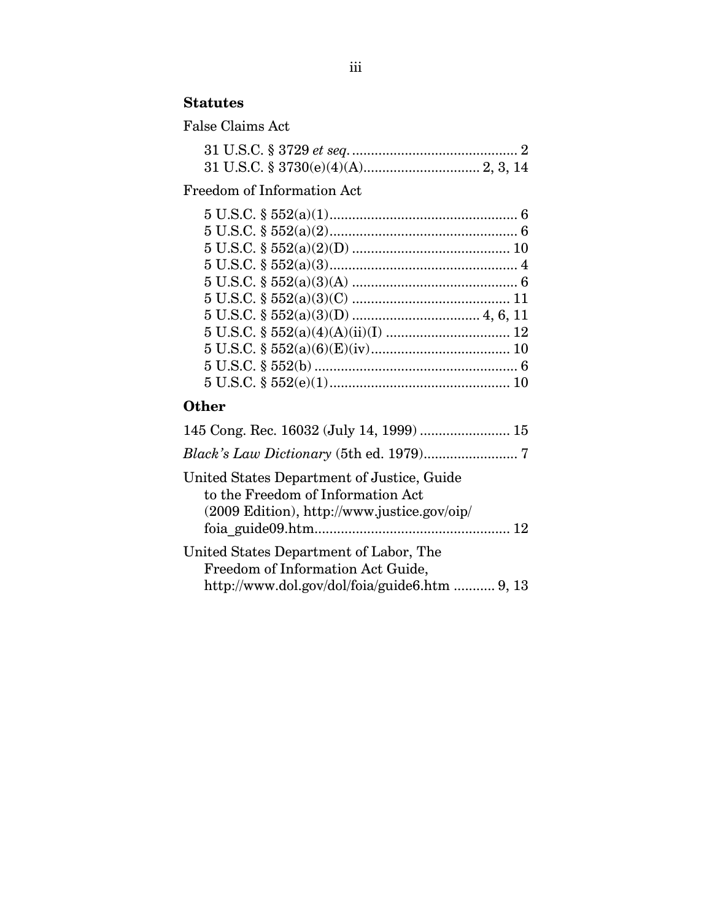### **Statutes**

False Claims Act

# Freedom of Information Act

# **Other**

| United States Department of Justice, Guide<br>to the Freedom of Information Act<br>(2009 Edition), http://www.justice.gov/oip/ |  |
|--------------------------------------------------------------------------------------------------------------------------------|--|
| United States Department of Labor, The<br>Freedom of Information Act Guide,<br>http://www.dol.gov/dol/foia/guide6.htm  9, 13   |  |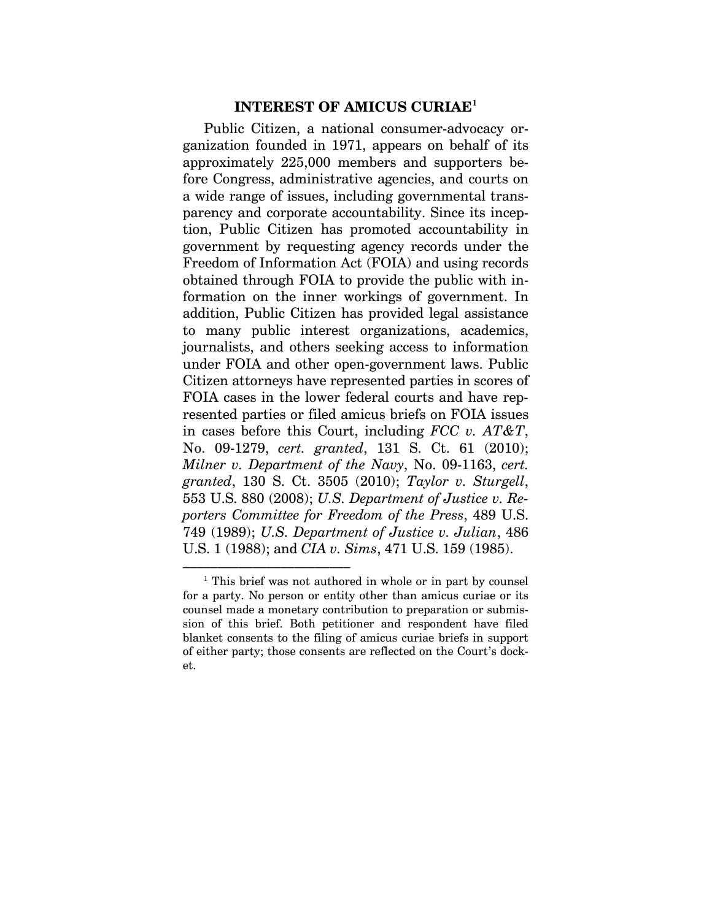#### INTEREST OF AMICUS CURIAE<sup>1</sup>

Public Citizen, a national consumer-advocacy organization founded in 1971, appears on behalf of its approximately 225,000 members and supporters before Congress, administrative agencies, and courts on a wide range of issues, including governmental transparency and corporate accountability. Since its inception, Public Citizen has promoted accountability in government by requesting agency records under the Freedom of Information Act (FOIA) and using records obtained through FOIA to provide the public with information on the inner workings of government. In addition, Public Citizen has provided legal assistance to many public interest organizations, academics, journalists, and others seeking access to information under FOIA and other open-government laws. Public Citizen attorneys have represented parties in scores of FOIA cases in the lower federal courts and have represented parties or filed amicus briefs on FOIA issues in cases before this Court, including  $FCC$  v.  $AT&T$ , No. 09-1279, cert. granted, 131 S. Ct. 61 (2010); Milner v. Department of the Navy, No. 09-1163, cert. granted, 130 S. Ct. 3505 (2010); Taylor v. Sturgell, 553 U.S. 880 (2008); U.S. Department of Justice v. Reporters Committee for Freedom of the Press, 489 U.S. 749 (1989); U.S. Department of Justice v. Julian, 486 U.S. 1 (1988); and CIA v. Sims, 471 U.S. 159 (1985).

<sup>&</sup>lt;sup>1</sup> This brief was not authored in whole or in part by counsel for a party. No person or entity other than amicus curiae or its counsel made a monetary contribution to preparation or submission of this brief. Both petitioner and respondent have filed blanket consents to the filing of amicus curiae briefs in support of either party; those consents are reflected on the Court's docket.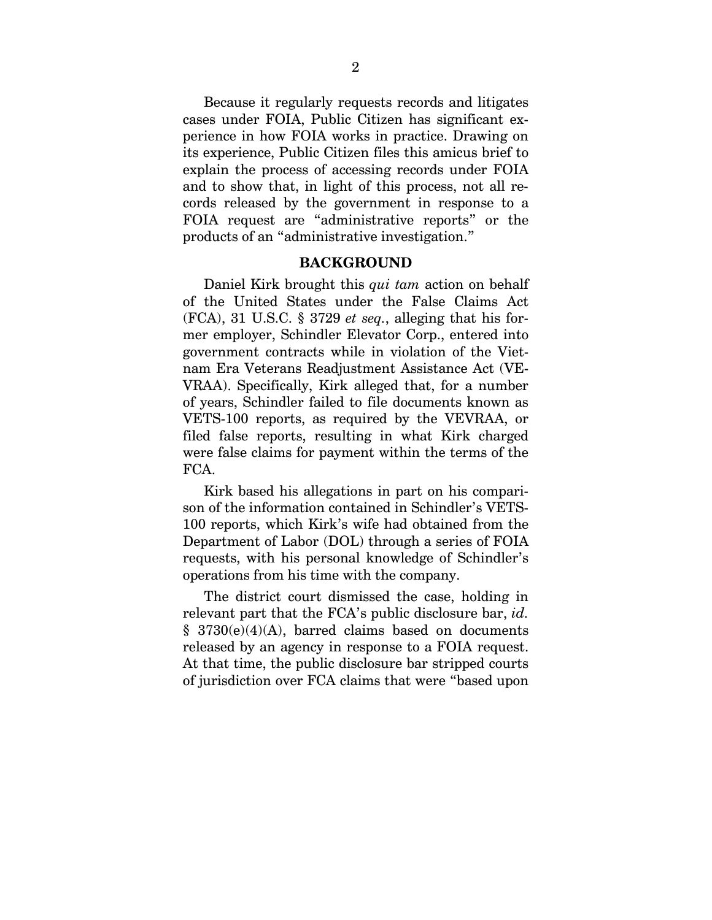Because it regularly requests records and litigates cases under FOIA, Public Citizen has significant experience in how FOIA works in practice. Drawing on its experience, Public Citizen files this amicus brief to explain the process of accessing records under FOIA and to show that, in light of this process, not all records released by the government in response to a FOIA request are "administrative reports" or the products of an "administrative investigation."

#### BACKGROUND

Daniel Kirk brought this *qui tam* action on behalf of the United States under the False Claims Act (FCA), 31 U.S.C. § 3729 et seq., alleging that his former employer, Schindler Elevator Corp., entered into government contracts while in violation of the Vietnam Era Veterans Readjustment Assistance Act (VE-VRAA). Specifically, Kirk alleged that, for a number of years, Schindler failed to file documents known as VETS-100 reports, as required by the VEVRAA, or filed false reports, resulting in what Kirk charged were false claims for payment within the terms of the FCA.

Kirk based his allegations in part on his comparison of the information contained in Schindler's VETS-100 reports, which Kirk's wife had obtained from the Department of Labor (DOL) through a series of FOIA requests, with his personal knowledge of Schindler's operations from his time with the company.

The district court dismissed the case, holding in relevant part that the FCA's public disclosure bar, id.  $§$  3730(e)(4)(A), barred claims based on documents released by an agency in response to a FOIA request. At that time, the public disclosure bar stripped courts of jurisdiction over FCA claims that were "based upon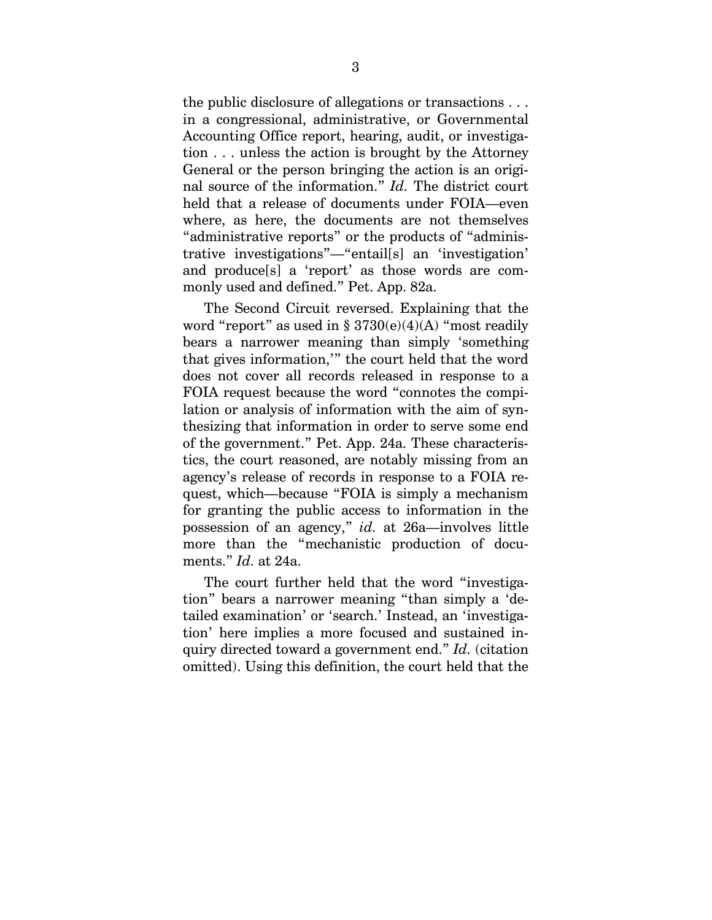the public disclosure of allegations or transactions . . . in a congressional, administrative, or Governmental Accounting Office report, hearing, audit, or investigation . . . unless the action is brought by the Attorney General or the person bringing the action is an original source of the information." Id. The district court held that a release of documents under FOIA—even where, as here, the documents are not themselves "administrative reports" or the products of "administrative investigations"—"entail[s] an 'investigation' and produce[s] a 'report' as those words are commonly used and defined." Pet. App. 82a.

The Second Circuit reversed. Explaining that the word "report" as used in §  $3730(e)(4)(A)$  "most readily bears a narrower meaning than simply 'something that gives information,'" the court held that the word does not cover all records released in response to a FOIA request because the word "connotes the compilation or analysis of information with the aim of synthesizing that information in order to serve some end of the government." Pet. App. 24a. These characteristics, the court reasoned, are notably missing from an agency's release of records in response to a FOIA request, which—because "FOIA is simply a mechanism for granting the public access to information in the possession of an agency," id. at 26a—involves little more than the "mechanistic production of documents." Id. at 24a.

The court further held that the word "investigation" bears a narrower meaning "than simply a 'detailed examination' or 'search.' Instead, an 'investigation' here implies a more focused and sustained inquiry directed toward a government end." Id. (citation omitted). Using this definition, the court held that the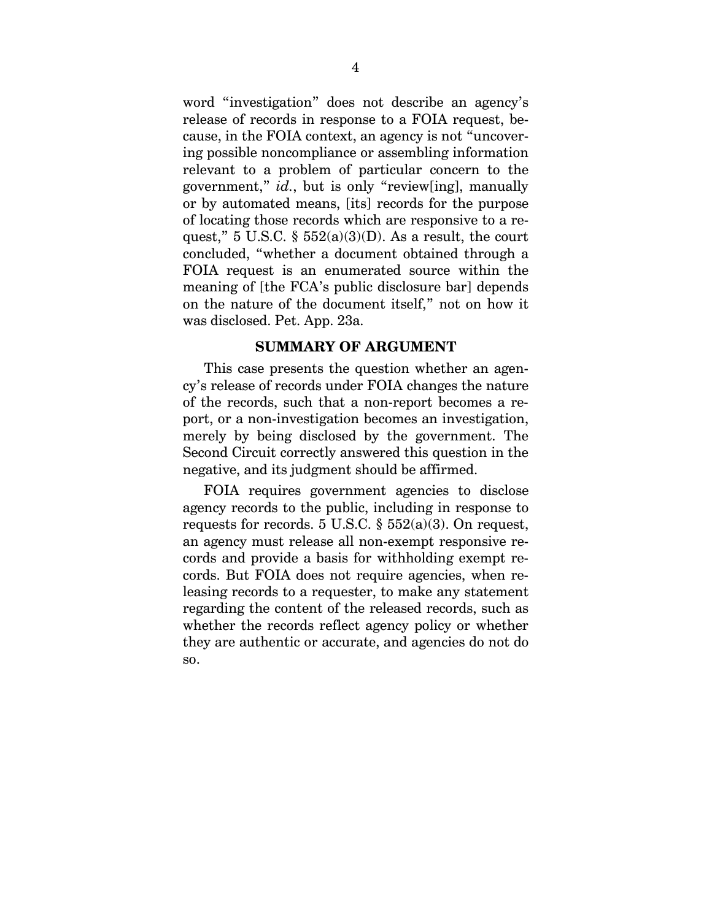word "investigation" does not describe an agency's release of records in response to a FOIA request, because, in the FOIA context, an agency is not "uncovering possible noncompliance or assembling information relevant to a problem of particular concern to the government," id., but is only "review[ing], manually or by automated means, [its] records for the purpose of locating those records which are responsive to a request," 5 U.S.C.  $\S$  552(a)(3)(D). As a result, the court concluded, "whether a document obtained through a FOIA request is an enumerated source within the meaning of [the FCA's public disclosure bar] depends on the nature of the document itself," not on how it was disclosed. Pet. App. 23a.

#### SUMMARY OF ARGUMENT

This case presents the question whether an agency's release of records under FOIA changes the nature of the records, such that a non-report becomes a report, or a non-investigation becomes an investigation, merely by being disclosed by the government. The Second Circuit correctly answered this question in the negative, and its judgment should be affirmed.

FOIA requires government agencies to disclose agency records to the public, including in response to requests for records. 5 U.S.C.  $\S$  552(a)(3). On request, an agency must release all non-exempt responsive records and provide a basis for withholding exempt records. But FOIA does not require agencies, when releasing records to a requester, to make any statement regarding the content of the released records, such as whether the records reflect agency policy or whether they are authentic or accurate, and agencies do not do so.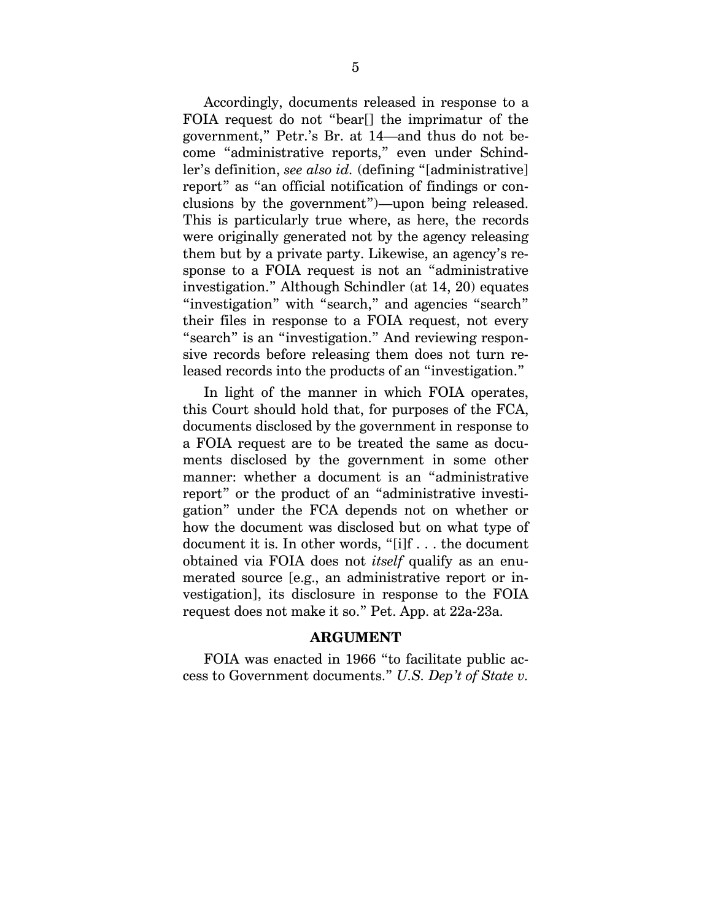Accordingly, documents released in response to a FOIA request do not "bear[] the imprimatur of the government," Petr.'s Br. at 14—and thus do not become "administrative reports," even under Schindler's definition, see also id. (defining "[administrative] report" as "an official notification of findings or conclusions by the government")—upon being released. This is particularly true where, as here, the records were originally generated not by the agency releasing them but by a private party. Likewise, an agency's response to a FOIA request is not an "administrative investigation." Although Schindler (at 14, 20) equates "investigation" with "search," and agencies "search" their files in response to a FOIA request, not every "search" is an "investigation." And reviewing responsive records before releasing them does not turn released records into the products of an "investigation."

In light of the manner in which FOIA operates, this Court should hold that, for purposes of the FCA, documents disclosed by the government in response to a FOIA request are to be treated the same as documents disclosed by the government in some other manner: whether a document is an "administrative report" or the product of an "administrative investigation" under the FCA depends not on whether or how the document was disclosed but on what type of document it is. In other words, "[i]f . . . the document obtained via FOIA does not itself qualify as an enumerated source [e.g., an administrative report or investigation], its disclosure in response to the FOIA request does not make it so." Pet. App. at 22a-23a.

#### ARGUMENT

FOIA was enacted in 1966 "to facilitate public access to Government documents." U.S. Dep't of State v.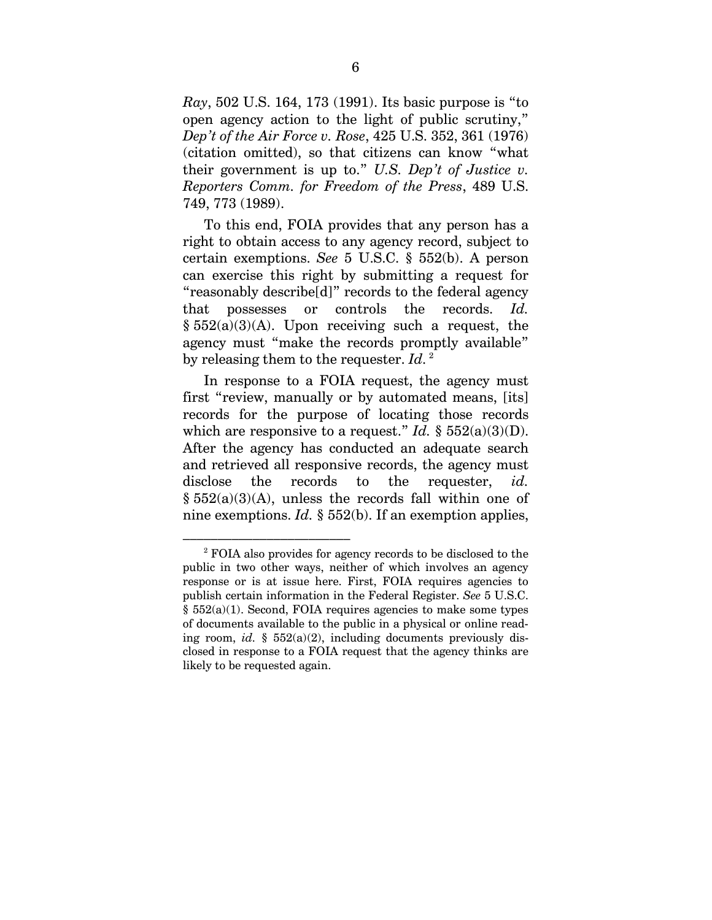$Ray$ , 502 U.S. 164, 173 (1991). Its basic purpose is "to" open agency action to the light of public scrutiny," Dep't of the Air Force v. Rose, 425 U.S. 352, 361 (1976) (citation omitted), so that citizens can know "what their government is up to." U.S. Dep't of Justice  $v$ . Reporters Comm. for Freedom of the Press, 489 U.S. 749, 773 (1989).

To this end, FOIA provides that any person has a right to obtain access to any agency record, subject to certain exemptions. See 5 U.S.C. § 552(b). A person can exercise this right by submitting a request for "reasonably describe[d]" records to the federal agency that possesses or controls the records. Id.  $§ 552(a)(3)(A)$ . Upon receiving such a request, the agency must "make the records promptly available" by releasing them to the requester. Id.  $^2$ 

In response to a FOIA request, the agency must first "review, manually or by automated means, [its] records for the purpose of locating those records which are responsive to a request." Id.  $\S$  552(a)(3)(D). After the agency has conducted an adequate search and retrieved all responsive records, the agency must disclose the records to the requester, *id.*  $§ 552(a)(3)(A)$ , unless the records fall within one of nine exemptions. Id.  $\S$  552(b). If an exemption applies,

<sup>&</sup>lt;sup>2</sup> FOIA also provides for agency records to be disclosed to the public in two other ways, neither of which involves an agency response or is at issue here. First, FOIA requires agencies to publish certain information in the Federal Register. See 5 U.S.C.  $§ 552(a)(1)$ . Second, FOIA requires agencies to make some types of documents available to the public in a physical or online reading room, id. §  $552(a)(2)$ , including documents previously disclosed in response to a FOIA request that the agency thinks are likely to be requested again.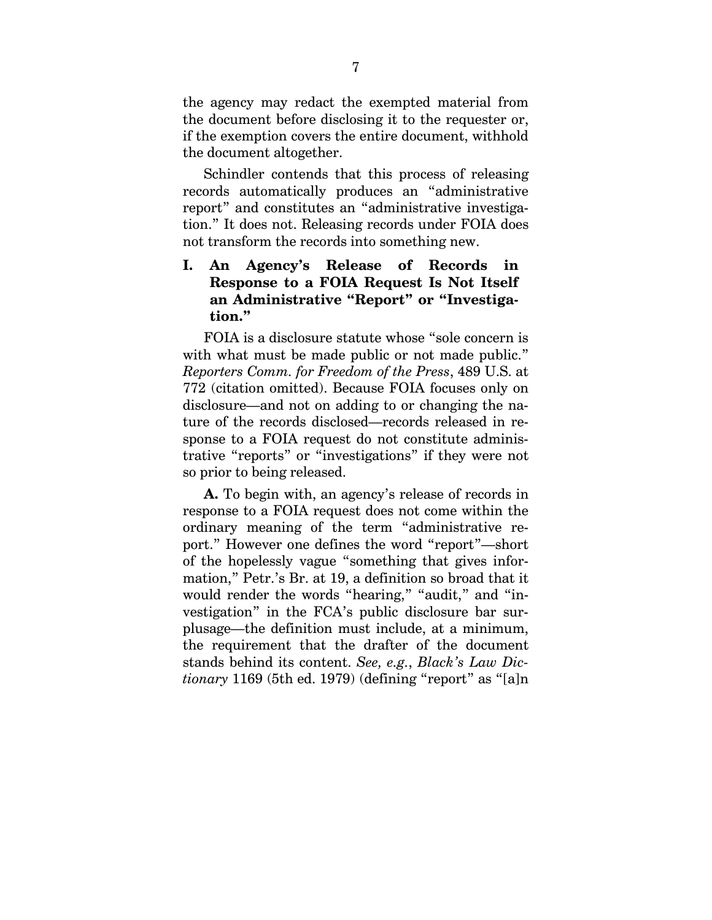the agency may redact the exempted material from the document before disclosing it to the requester or, if the exemption covers the entire document, withhold the document altogether.

Schindler contends that this process of releasing records automatically produces an "administrative report" and constitutes an "administrative investigation." It does not. Releasing records under FOIA does not transform the records into something new.

### I. An Agency's Release of Records in Response to a FOIA Request Is Not Itself an Administrative "Report" or "Investigation."

FOIA is a disclosure statute whose "sole concern is with what must be made public or not made public." Reporters Comm. for Freedom of the Press, 489 U.S. at 772 (citation omitted). Because FOIA focuses only on disclosure—and not on adding to or changing the nature of the records disclosed—records released in response to a FOIA request do not constitute administrative "reports" or "investigations" if they were not so prior to being released.

A. To begin with, an agency's release of records in response to a FOIA request does not come within the ordinary meaning of the term "administrative report." However one defines the word "report"—short of the hopelessly vague "something that gives information," Petr.'s Br. at 19, a definition so broad that it would render the words "hearing," "audit," and "investigation" in the FCA's public disclosure bar surplusage—the definition must include, at a minimum, the requirement that the drafter of the document stands behind its content. See, e.g., Black's Law Dic $tionary$  1169 (5th ed. 1979) (defining "report" as "[a]n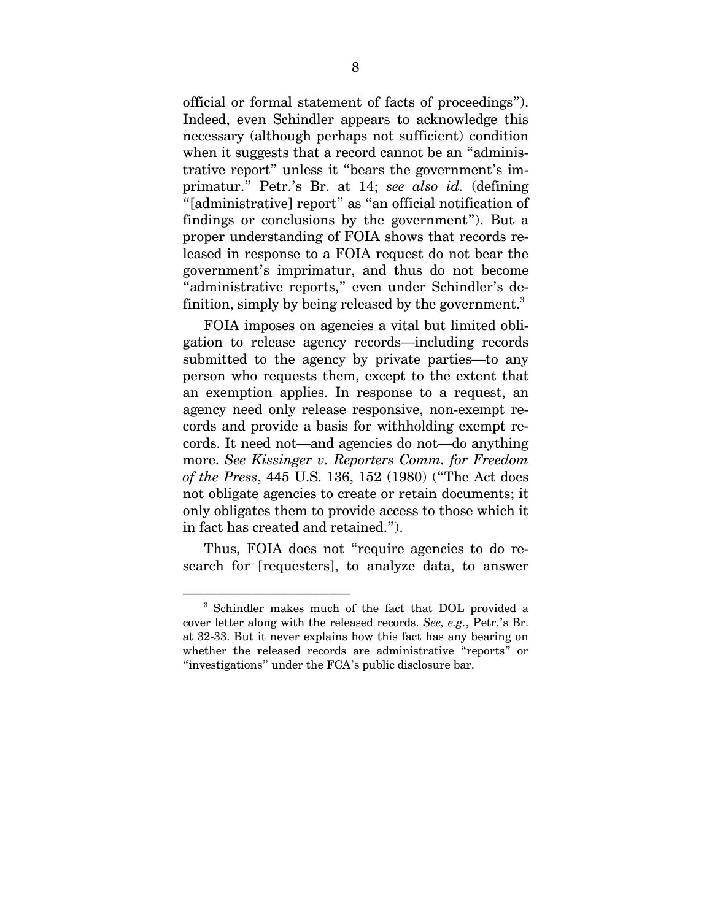official or formal statement of facts of proceedings"). Indeed, even Schindler appears to acknowledge this necessary (although perhaps not sufficient) condition when it suggests that a record cannot be an "administrative report" unless it "bears the government's imprimatur." Petr.'s Br. at 14; see also id. (defining "[administrative] report" as "an official notification of findings or conclusions by the government"). But a proper understanding of FOIA shows that records released in response to a FOIA request do not bear the government's imprimatur, and thus do not become "administrative reports," even under Schindler's definition, simply by being released by the government. $^3$ 

FOIA imposes on agencies a vital but limited obligation to release agency records—including records submitted to the agency by private parties—to any person who requests them, except to the extent that an exemption applies. In response to a request, an agency need only release responsive, non-exempt records and provide a basis for withholding exempt records. It need not—and agencies do not—do anything more. See Kissinger v. Reporters Comm. for Freedom of the Press, 445 U.S. 136, 152 (1980) ("The Act does not obligate agencies to create or retain documents; it only obligates them to provide access to those which it in fact has created and retained.").

Thus, FOIA does not "require agencies to do research for [requesters], to analyze data, to answer

<sup>3</sup> Schindler makes much of the fact that DOL provided a cover letter along with the released records. See, e.g., Petr.'s Br. at 32-33. But it never explains how this fact has any bearing on whether the released records are administrative "reports" or "investigations" under the FCA's public disclosure bar.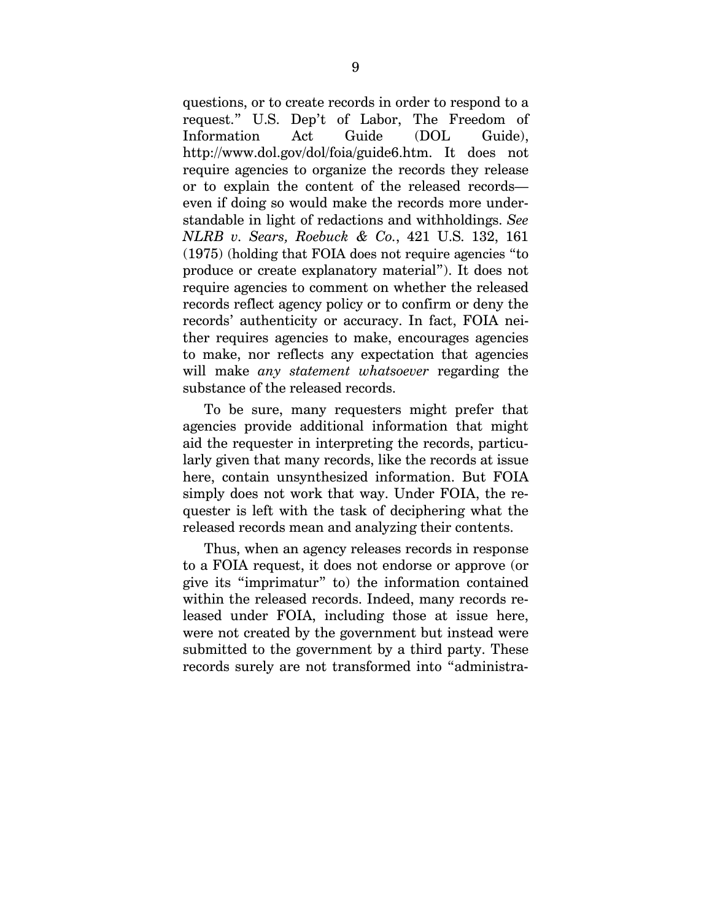questions, or to create records in order to respond to a request." U.S. Dep't of Labor, The Freedom of Information Act Guide (DOL Guide), http://www.dol.gov/dol/foia/guide6.htm. It does not require agencies to organize the records they release or to explain the content of the released records even if doing so would make the records more understandable in light of redactions and withholdings. See NLRB v. Sears, Roebuck & Co., 421 U.S. 132, 161 (1975) (holding that FOIA does not require agencies "to produce or create explanatory material"). It does not require agencies to comment on whether the released records reflect agency policy or to confirm or deny the records' authenticity or accuracy. In fact, FOIA neither requires agencies to make, encourages agencies to make, nor reflects any expectation that agencies will make *any statement whatsoever* regarding the substance of the released records.

To be sure, many requesters might prefer that agencies provide additional information that might aid the requester in interpreting the records, particularly given that many records, like the records at issue here, contain unsynthesized information. But FOIA simply does not work that way. Under FOIA, the requester is left with the task of deciphering what the released records mean and analyzing their contents.

 Thus, when an agency releases records in response to a FOIA request, it does not endorse or approve (or give its "imprimatur" to) the information contained within the released records. Indeed, many records released under FOIA, including those at issue here, were not created by the government but instead were submitted to the government by a third party. These records surely are not transformed into "administra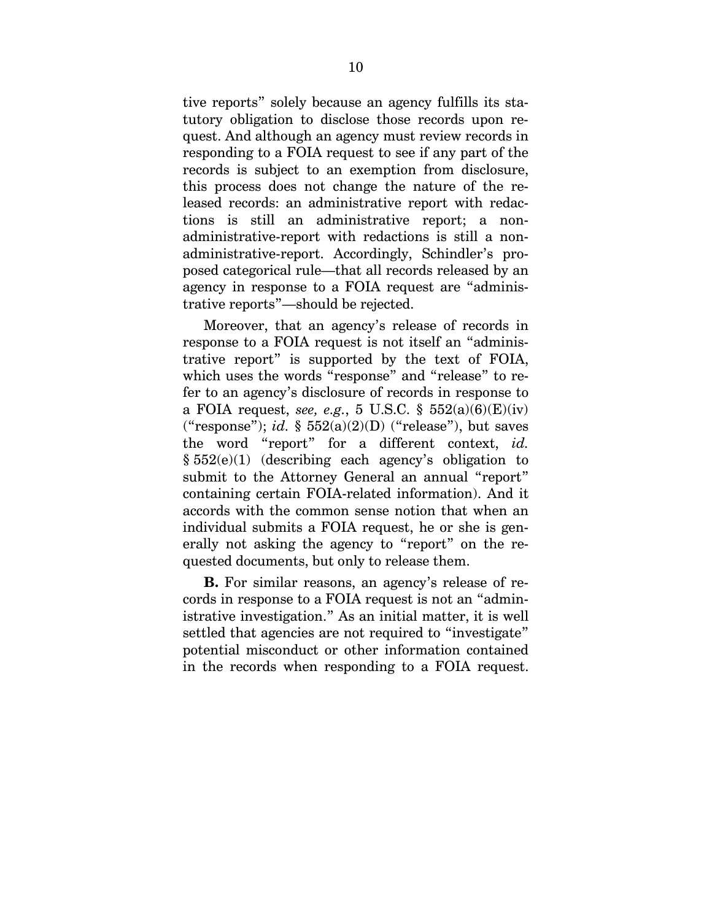tive reports" solely because an agency fulfills its statutory obligation to disclose those records upon request. And although an agency must review records in responding to a FOIA request to see if any part of the records is subject to an exemption from disclosure, this process does not change the nature of the released records: an administrative report with redactions is still an administrative report; a nonadministrative-report with redactions is still a nonadministrative-report. Accordingly, Schindler's proposed categorical rule—that all records released by an agency in response to a FOIA request are "administrative reports"—should be rejected.

Moreover, that an agency's release of records in response to a FOIA request is not itself an "administrative report" is supported by the text of FOIA, which uses the words "response" and "release" to refer to an agency's disclosure of records in response to a FOIA request, see, e.g., 5 U.S.C.  $\S$  552(a)(6)(E)(iv) ("response"); id.  $\S$  552(a)(2)(D) ("release"), but saves the word "report" for a different context, id. § 552(e)(1) (describing each agency's obligation to submit to the Attorney General an annual "report" containing certain FOIA-related information). And it accords with the common sense notion that when an individual submits a FOIA request, he or she is generally not asking the agency to "report" on the requested documents, but only to release them.

B. For similar reasons, an agency's release of records in response to a FOIA request is not an "administrative investigation." As an initial matter, it is well settled that agencies are not required to "investigate" potential misconduct or other information contained in the records when responding to a FOIA request.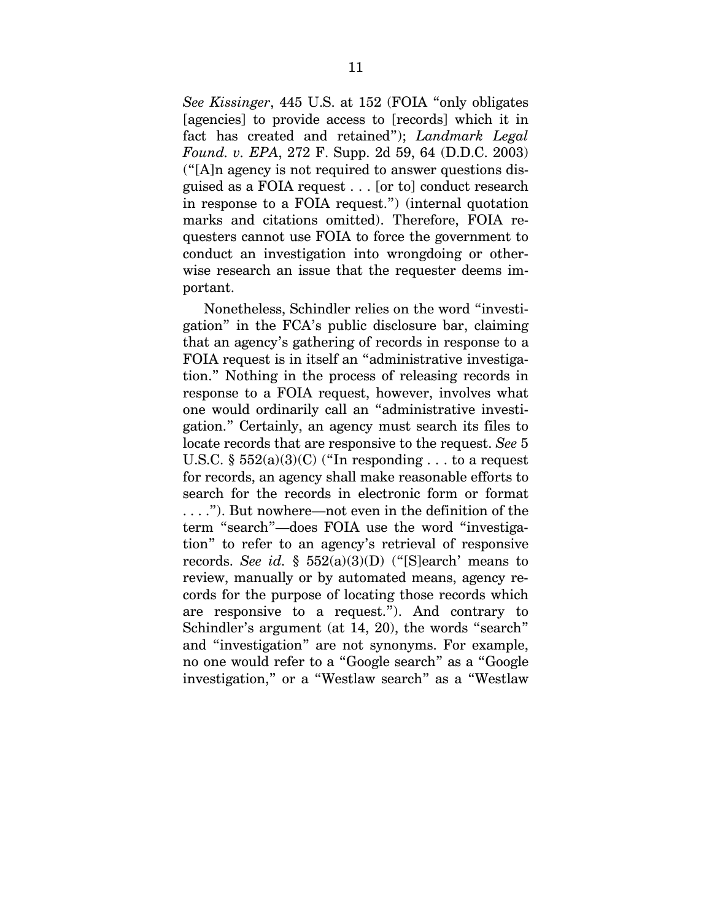See Kissinger, 445 U.S. at 152 (FOIA "only obligates [agencies] to provide access to [records] which it in fact has created and retained"); Landmark Legal Found. v. EPA, 272 F. Supp. 2d 59, 64 (D.D.C. 2003) ("[A]n agency is not required to answer questions disguised as a FOIA request . . . [or to] conduct research in response to a FOIA request.") (internal quotation marks and citations omitted). Therefore, FOIA requesters cannot use FOIA to force the government to conduct an investigation into wrongdoing or otherwise research an issue that the requester deems important.

Nonetheless, Schindler relies on the word "investigation" in the FCA's public disclosure bar, claiming that an agency's gathering of records in response to a FOIA request is in itself an "administrative investigation." Nothing in the process of releasing records in response to a FOIA request, however, involves what one would ordinarily call an "administrative investigation." Certainly, an agency must search its files to locate records that are responsive to the request. See 5 U.S.C.  $\S 552(a)(3)(C)$  ("In responding . . . to a request for records, an agency shall make reasonable efforts to search for the records in electronic form or format . . . ."). But nowhere—not even in the definition of the term "search"—does FOIA use the word "investigation" to refer to an agency's retrieval of responsive records. See id. §  $552(a)(3)(D)$  ("[S]earch' means to review, manually or by automated means, agency records for the purpose of locating those records which are responsive to a request."). And contrary to Schindler's argument (at 14, 20), the words "search" and "investigation" are not synonyms. For example, no one would refer to a "Google search" as a "Google investigation," or a "Westlaw search" as a "Westlaw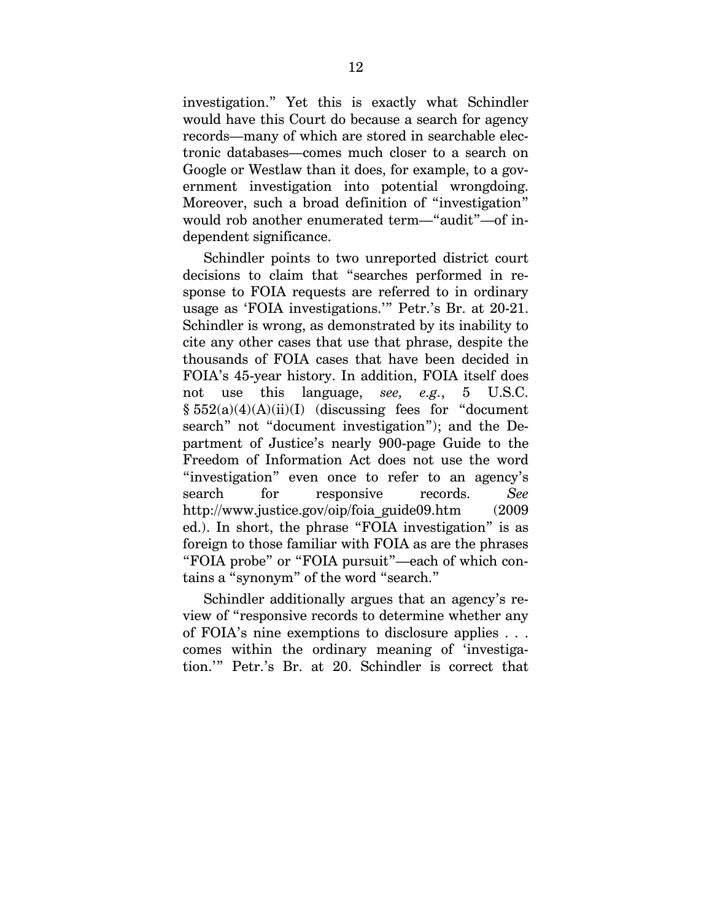investigation." Yet this is exactly what Schindler would have this Court do because a search for agency records—many of which are stored in searchable electronic databases—comes much closer to a search on Google or Westlaw than it does, for example, to a government investigation into potential wrongdoing. Moreover, such a broad definition of "investigation" would rob another enumerated term—"audit"—of independent significance.

Schindler points to two unreported district court decisions to claim that "searches performed in response to FOIA requests are referred to in ordinary usage as 'FOIA investigations.'" Petr.'s Br. at 20-21. Schindler is wrong, as demonstrated by its inability to cite any other cases that use that phrase, despite the thousands of FOIA cases that have been decided in FOIA's 45-year history. In addition, FOIA itself does not use this language, see, e.g., 5 U.S.C.  $§ 552(a)(4)(A)(ii)(I)$  (discussing fees for "document" search" not "document investigation"); and the Department of Justice's nearly 900-page Guide to the Freedom of Information Act does not use the word "investigation" even once to refer to an agency's search for responsive records. See http://www.justice.gov/oip/foia\_guide09.htm (2009 ed.). In short, the phrase "FOIA investigation" is as foreign to those familiar with FOIA as are the phrases "FOIA probe" or "FOIA pursuit"—each of which contains a "synonym" of the word "search."

Schindler additionally argues that an agency's review of "responsive records to determine whether any of FOIA's nine exemptions to disclosure applies . . . comes within the ordinary meaning of 'investigation.'" Petr.'s Br. at 20. Schindler is correct that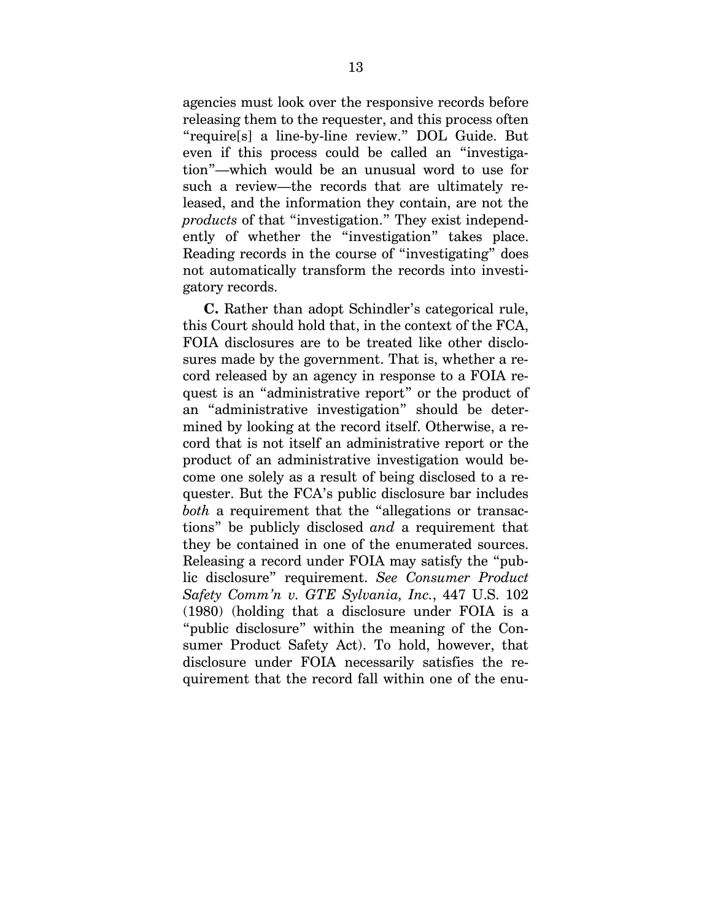agencies must look over the responsive records before releasing them to the requester, and this process often "require[s] a line-by-line review." DOL Guide. But even if this process could be called an "investigation"—which would be an unusual word to use for such a review—the records that are ultimately released, and the information they contain, are not the products of that "investigation." They exist independently of whether the "investigation" takes place. Reading records in the course of "investigating" does not automatically transform the records into investigatory records.

C. Rather than adopt Schindler's categorical rule, this Court should hold that, in the context of the FCA, FOIA disclosures are to be treated like other disclosures made by the government. That is, whether a record released by an agency in response to a FOIA request is an "administrative report" or the product of an "administrative investigation" should be determined by looking at the record itself. Otherwise, a record that is not itself an administrative report or the product of an administrative investigation would become one solely as a result of being disclosed to a requester. But the FCA's public disclosure bar includes both a requirement that the "allegations or transactions" be publicly disclosed and a requirement that they be contained in one of the enumerated sources. Releasing a record under FOIA may satisfy the "public disclosure" requirement. See Consumer Product Safety Comm'n v. GTE Sylvania, Inc., 447 U.S. 102 (1980) (holding that a disclosure under FOIA is a "public disclosure" within the meaning of the Consumer Product Safety Act). To hold, however, that disclosure under FOIA necessarily satisfies the requirement that the record fall within one of the enu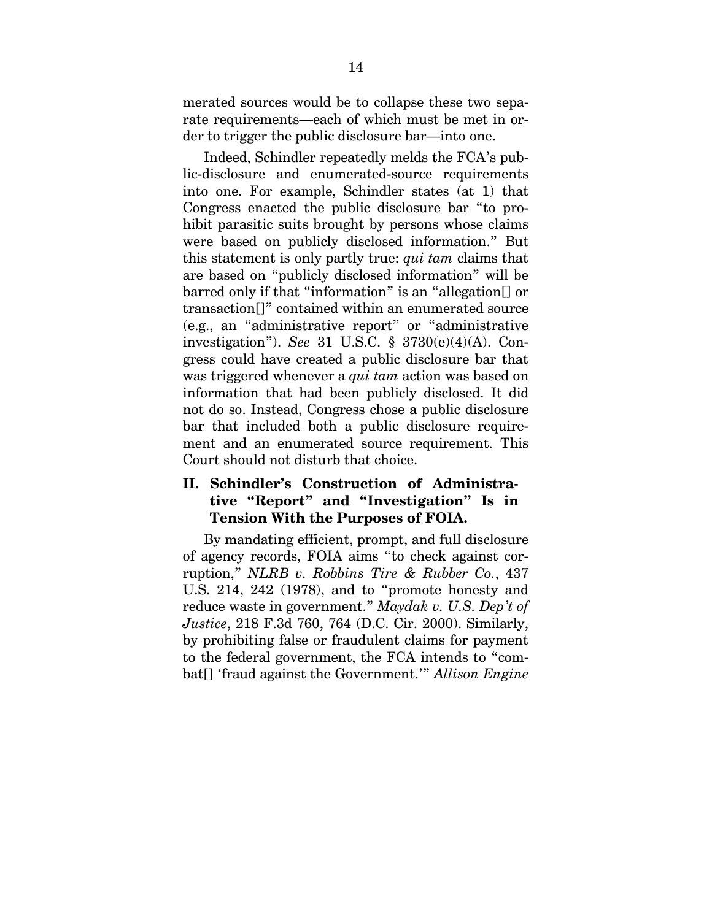merated sources would be to collapse these two separate requirements—each of which must be met in order to trigger the public disclosure bar—into one.

Indeed, Schindler repeatedly melds the FCA's public-disclosure and enumerated-source requirements into one. For example, Schindler states (at 1) that Congress enacted the public disclosure bar "to prohibit parasitic suits brought by persons whose claims were based on publicly disclosed information." But this statement is only partly true: qui tam claims that are based on "publicly disclosed information" will be barred only if that "information" is an "allegation[] or transaction[]" contained within an enumerated source (e.g., an "administrative report" or "administrative investigation"). See 31 U.S.C. §  $3730(e)(4)(A)$ . Congress could have created a public disclosure bar that was triggered whenever a *qui tam* action was based on information that had been publicly disclosed. It did not do so. Instead, Congress chose a public disclosure bar that included both a public disclosure requirement and an enumerated source requirement. This Court should not disturb that choice.

### II. Schindler's Construction of Administrative "Report" and "Investigation" Is in Tension With the Purposes of FOIA.

 By mandating efficient, prompt, and full disclosure of agency records, FOIA aims "to check against corruption," NLRB v. Robbins Tire & Rubber Co., 437 U.S. 214, 242 (1978), and to "promote honesty and reduce waste in government." Maydak v. U.S. Dep't of Justice, 218 F.3d 760, 764 (D.C. Cir. 2000). Similarly, by prohibiting false or fraudulent claims for payment to the federal government, the FCA intends to "combat<sup>[]</sup> 'fraud against the Government.'" Allison Engine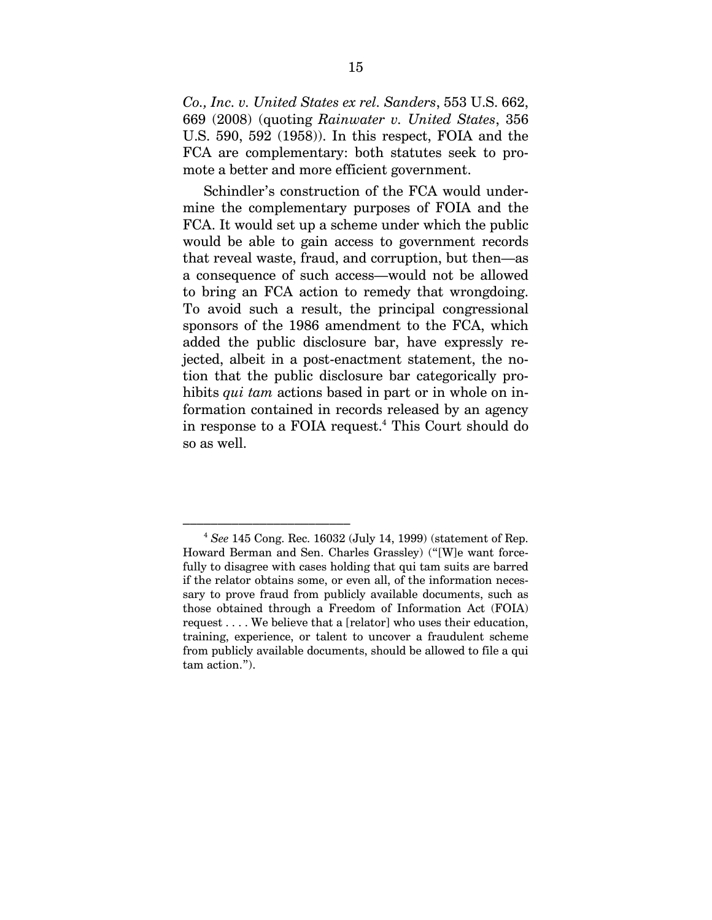Co., Inc. v. United States ex rel. Sanders, 553 U.S. 662, 669 (2008) (quoting Rainwater v. United States, 356 U.S. 590, 592 (1958)). In this respect, FOIA and the FCA are complementary: both statutes seek to promote a better and more efficient government.

Schindler's construction of the FCA would undermine the complementary purposes of FOIA and the FCA. It would set up a scheme under which the public would be able to gain access to government records that reveal waste, fraud, and corruption, but then—as a consequence of such access—would not be allowed to bring an FCA action to remedy that wrongdoing. To avoid such a result, the principal congressional sponsors of the 1986 amendment to the FCA, which added the public disclosure bar, have expressly rejected, albeit in a post-enactment statement, the notion that the public disclosure bar categorically prohibits *qui tam* actions based in part or in whole on information contained in records released by an agency in response to a FOIA request.<sup>4</sup> This Court should do so as well.

 $4$  See 145 Cong. Rec. 16032 (July 14, 1999) (statement of Rep. Howard Berman and Sen. Charles Grassley) ("[W]e want forcefully to disagree with cases holding that qui tam suits are barred if the relator obtains some, or even all, of the information necessary to prove fraud from publicly available documents, such as those obtained through a Freedom of Information Act (FOIA) request . . . . We believe that a [relator] who uses their education, training, experience, or talent to uncover a fraudulent scheme from publicly available documents, should be allowed to file a qui tam action.").